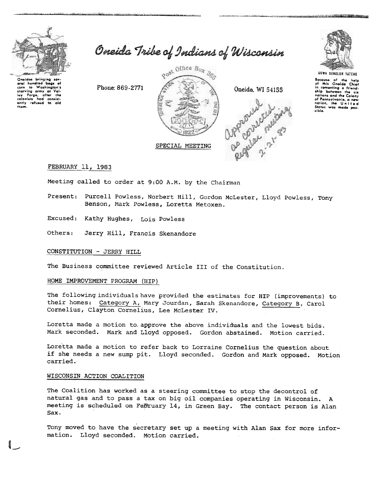

Onaidas bringing sav orai hundred baas of over the Washington's<br>starving army at Vali-<br>ley Forge, after the<br>coloniats had consist-<br>entity refused to aid<br>them. Oneida Tribe of Indians of Wisconsin

gost Office Box 303 Phone: 869-2771 Oneida, WI 54155 De order neuves SPECIAL MEETING



an ann a bhaill ann an 1970. Tha a

UGWA DENOLUN TATENE

Bocause of the help<br>of this Oneida Chief in compating a friend. nations and the Calony of Pennsylvania, a ne nation, the United<br>States was made possible.

FEBRUARY 11, 1983

Meeting called to order at 9:00 A.M. by the Chairman

Present: Purcell Powless, Norbert Hill, Gordon McLester, Lloyd Powless, Tony Benson, Mark Powless, Loretta Metoxen.

Excused: Kathy Hughes, Lois Powless

Others: Jerry Hill, Francis Skenandore

# CONSTITUTION - JERRY HILL

The Business committee reviewed Article III of the Constitution.

### HOME IMPROVEMENT PROGRAM (HIP)

The following individuals have provided the estimates for HIP (improvements) to their homes: Category A, Mary Jourdan, Sarah Skenandore, Category B, Carol Cornelius, Clayton Cornelius, Lee McLester IV.

Loretta made a motion to approve the above individuals and the lowest bids. Mark seconded. Mark and Lloyd opposed. Gordon abstained. Motion carried.

Loretta made a motion to refer back to Lorraine Cornelius the question about if she needs a new sump pit. Lloyd seconded. Gordon and Mark opposed. Motion carried.

### WISCONSIN ACTION COALITION

The Coalition has worked as a steering committee to stop the decontrol of natural gas and to pass a tax on big oil companies operating in Wisconsin. A meeting is scheduled on February 14, in Green Bay. The contact person is Alan Sax.

Tony moved to have the secretary set up a meeting with Alan Sax for more information. Lloyd seconded. Motion carried.